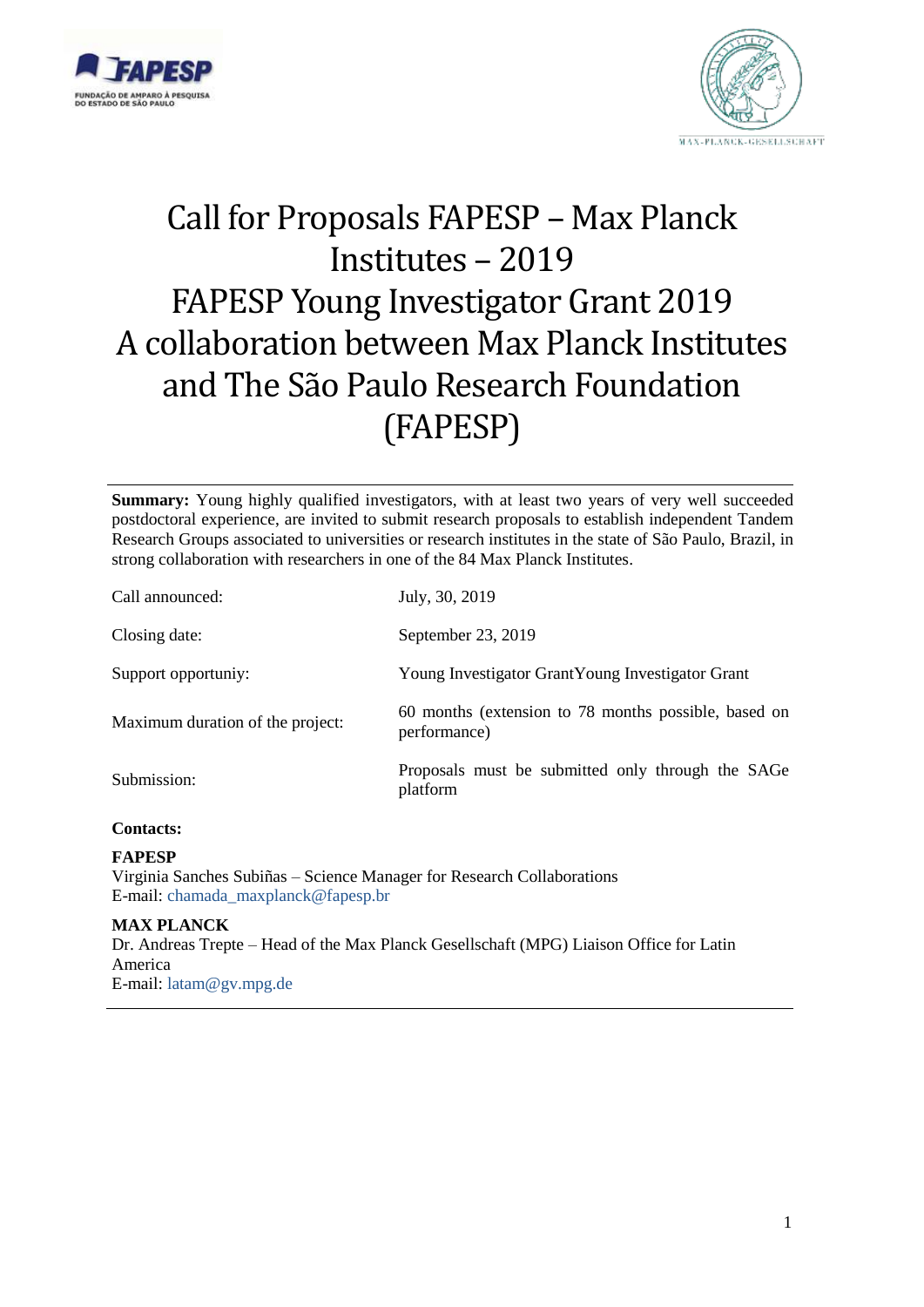



# Call for Proposals FAPESP – Max Planck Institutes – 2019 FAPESP Young Investigator Grant 2019 A collaboration between Max Planck Institutes and The São Paulo Research Foundation (FAPESP)

**Summary:** Young highly qualified investigators, with at least two years of very well succeeded postdoctoral experience, are invited to submit research proposals to establish independent Tandem Research Groups associated to universities or research institutes in the state of São Paulo, Brazil, in strong collaboration with researchers in one of the 84 Max Planck Institutes.

| Call announced:                  | July, 30, 2019                                                       |
|----------------------------------|----------------------------------------------------------------------|
| Closing date:                    | September 23, 2019                                                   |
| Support opportuniy:              | Young Investigator GrantYoung Investigator Grant                     |
| Maximum duration of the project: | 60 months (extension to 78 months possible, based on<br>performance) |
| Submission:                      | Proposals must be submitted only through the SAGe<br>platform        |
| $\mathbf{C}$ $\mathbf{A}$        |                                                                      |

#### **Contacts:**

#### **FAPESP**

Virginia Sanches Subiñas – Science Manager for Research Collaborations E-mail: [chamada\\_maxplanck@fapesp.br](mailto:chamada_maxplanck@fapesp.br)

#### **MAX PLANCK**

Dr. Andreas Trepte – Head of the Max Planck Gesellschaft (MPG) Liaison Office for Latin America E-mail: [latam@gv.mpg.de](mailto:latam@gv.mpg.de)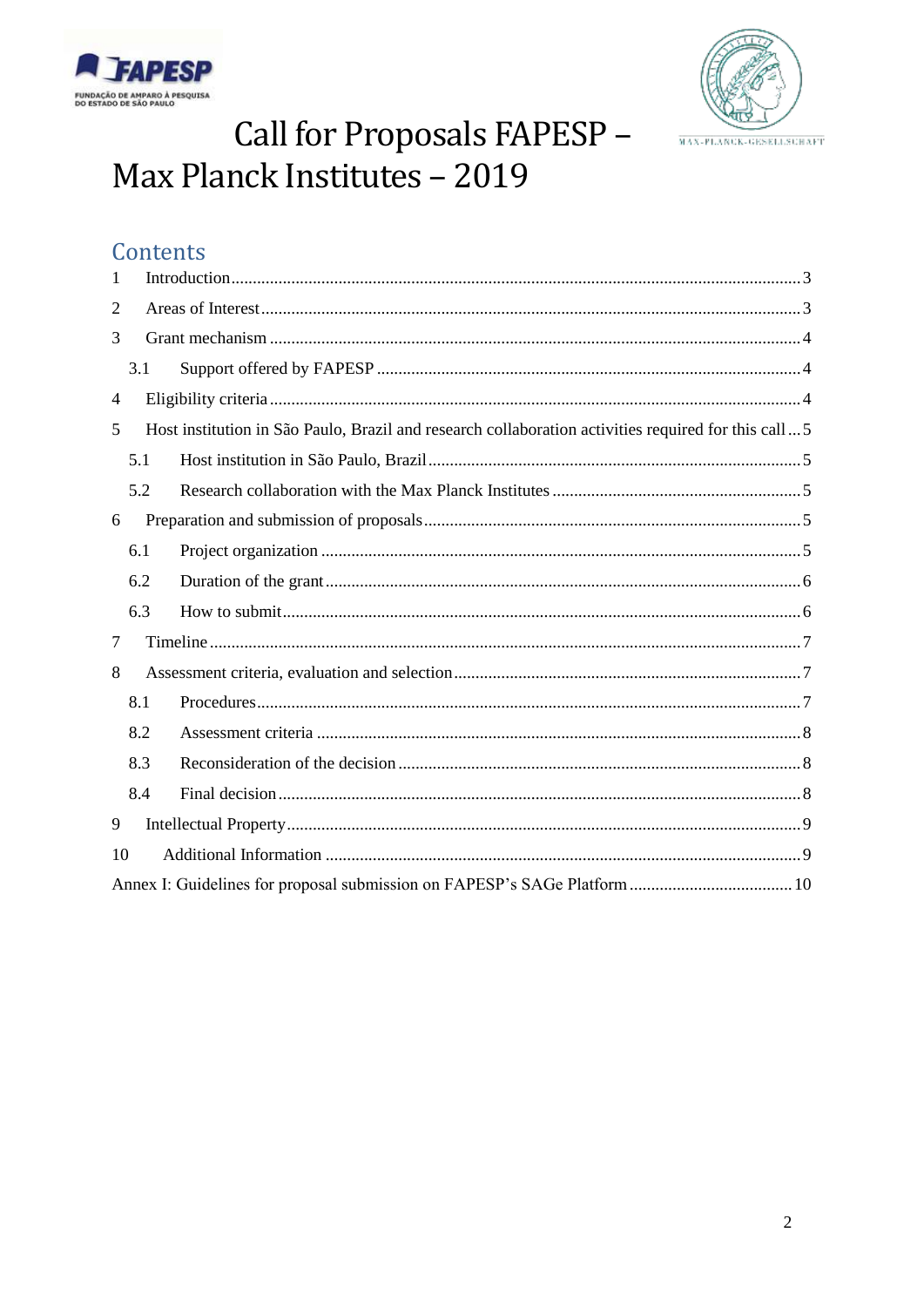



## Call for Proposals FAPESP-Max Planck Institutes - 2019

## Contents

| 1              |                                                                                                     |  |  |
|----------------|-----------------------------------------------------------------------------------------------------|--|--|
| $\overline{2}$ |                                                                                                     |  |  |
| 3              |                                                                                                     |  |  |
|                | 3.1                                                                                                 |  |  |
| $\overline{4}$ |                                                                                                     |  |  |
| 5              | Host institution in São Paulo, Brazil and research collaboration activities required for this call5 |  |  |
|                | 5.1                                                                                                 |  |  |
|                | 5.2                                                                                                 |  |  |
| 6              |                                                                                                     |  |  |
|                | 6.1                                                                                                 |  |  |
|                | 6.2                                                                                                 |  |  |
|                | 6.3                                                                                                 |  |  |
| 7              |                                                                                                     |  |  |
| 8              |                                                                                                     |  |  |
|                | 8.1                                                                                                 |  |  |
|                | 8.2                                                                                                 |  |  |
|                | 8.3                                                                                                 |  |  |
|                | 8.4                                                                                                 |  |  |
| 9              |                                                                                                     |  |  |
| 10             |                                                                                                     |  |  |
|                |                                                                                                     |  |  |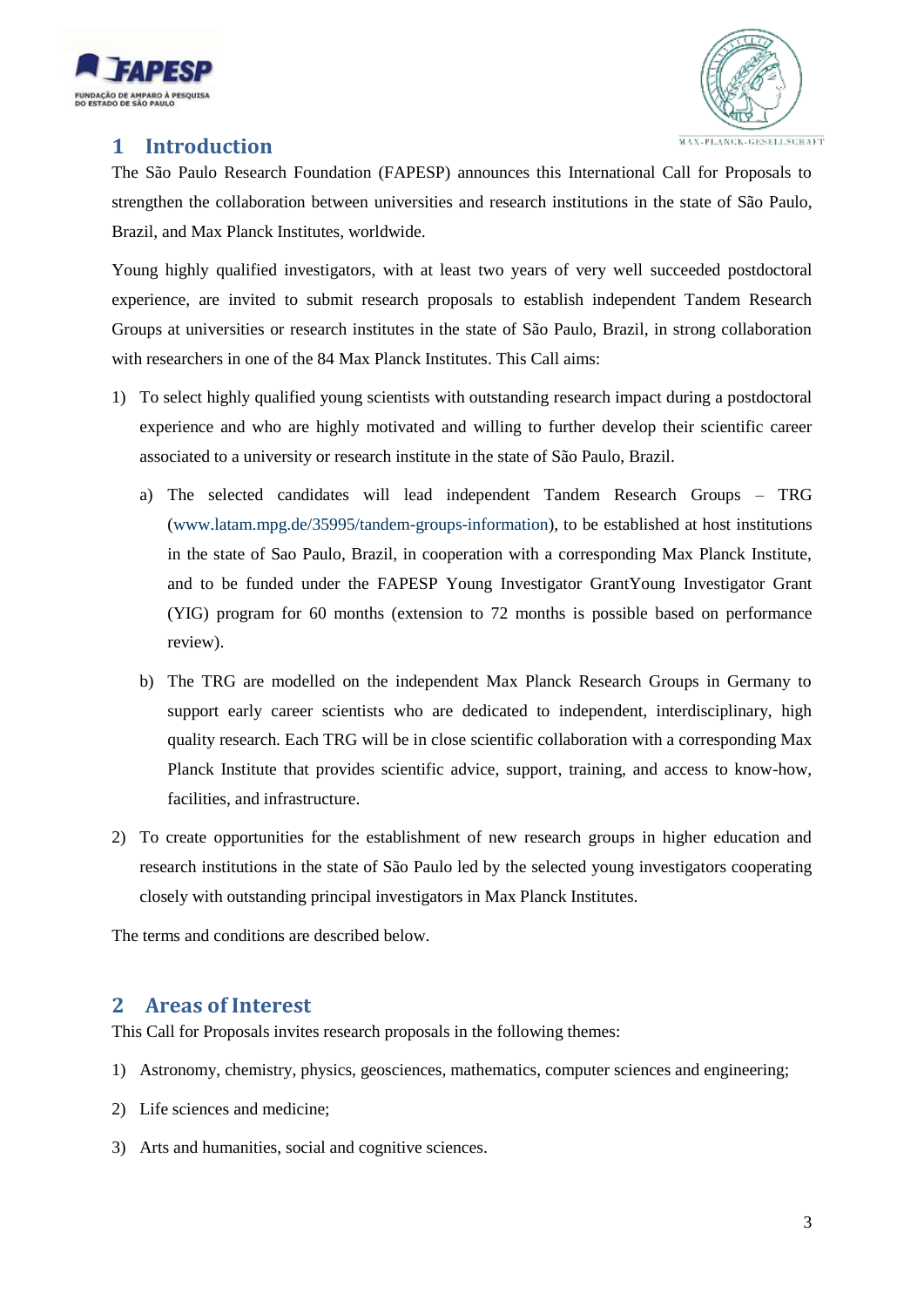



## <span id="page-2-0"></span>**1 Introduction**

The São Paulo Research Foundation (FAPESP) announces this International Call for Proposals to strengthen the collaboration between universities and research institutions in the state of São Paulo, Brazil, and Max Planck Institutes, worldwide.

Young highly qualified investigators, with at least two years of very well succeeded postdoctoral experience, are invited to submit research proposals to establish independent Tandem Research Groups at universities or research institutes in the state of São Paulo, Brazil, in strong collaboration with researchers in one of the 84 Max Planck Institutes. This Call aims:

- 1) To select highly qualified young scientists with outstanding research impact during a postdoctoral experience and who are highly motivated and willing to further develop their scientific career associated to a university or research institute in the state of São Paulo, Brazil.
	- a) The selected candidates will lead independent Tandem Research Groups TRG [\(www.latam.mpg.de/35995/tandem-groups-information\)](http://www.latam.mpg.de/35995/tandem-groups-information), to be established at host institutions in the state of Sao Paulo, Brazil, in cooperation with a corresponding Max Planck Institute, and to be funded under the FAPESP Young Investigator GrantYoung Investigator Grant (YIG) program for 60 months (extension to 72 months is possible based on performance review).
	- b) The TRG are modelled on the independent Max Planck Research Groups in Germany to support early career scientists who are dedicated to independent, interdisciplinary, high quality research. Each TRG will be in close scientific collaboration with a corresponding Max Planck Institute that provides scientific advice, support, training, and access to know-how, facilities, and infrastructure.
- 2) To create opportunities for the establishment of new research groups in higher education and research institutions in the state of São Paulo led by the selected young investigators cooperating closely with outstanding principal investigators in Max Planck Institutes.

The terms and conditions are described below.

## <span id="page-2-1"></span>**2 Areas of Interest**

This Call for Proposals invites research proposals in the following themes:

- 1) Astronomy, chemistry, physics, geosciences, mathematics, computer sciences and engineering;
- 2) Life sciences and medicine;
- 3) Arts and humanities, social and cognitive sciences.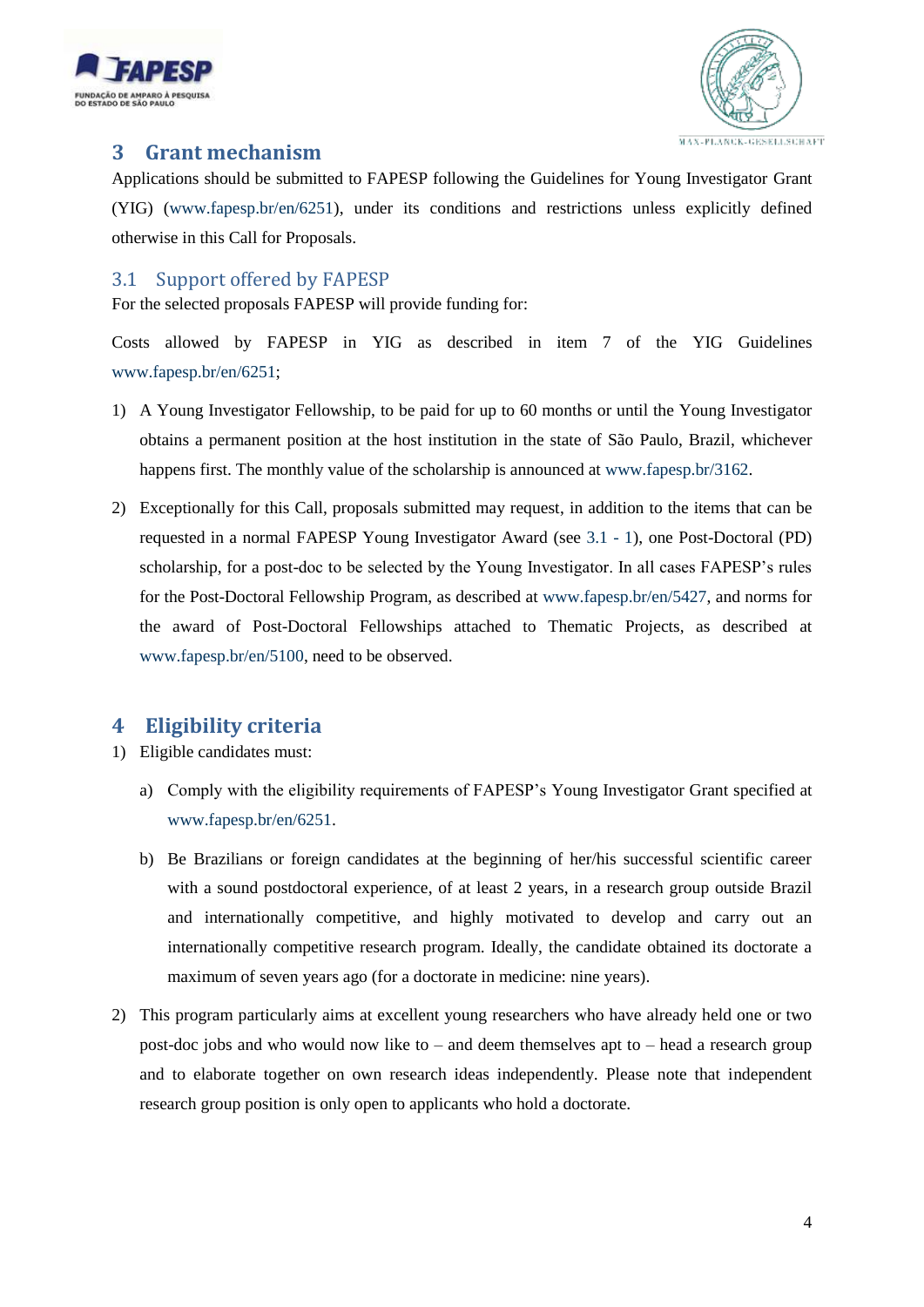



## <span id="page-3-0"></span>**3 Grant mechanism**

Applications should be submitted to FAPESP following the Guidelines for Young Investigator Grant (YIG) [\(www.fapesp.br/en/6251\)](http://www.fapesp.br/en/6251), under its conditions and restrictions unless explicitly defined otherwise in this Call for Proposals.

## <span id="page-3-1"></span>3.1 Support offered by FAPESP

For the selected proposals FAPESP will provide funding for:

<span id="page-3-3"></span>Costs allowed by FAPESP in YIG as described in item 7 of the YIG Guidelines [www.fapesp.br/en/6251;](http://www.fapesp.br/en/6251)

- 1) A Young Investigator Fellowship, to be paid for up to 60 months or until the Young Investigator obtains a permanent position at the host institution in the state of São Paulo, Brazil, whichever happens first. The monthly value of the scholarship is announced at [www.fapesp.br/3162.](http://www.fapesp.br/3162)
- 2) Exceptionally for this Call, proposals submitted may request, in addition to the items that can be requested in a normal FAPESP Young Investigator Award (see [3.1 -](#page-3-3) 1), one Post-Doctoral (PD) scholarship, for a post-doc to be selected by the Young Investigator. In all cases FAPESP's rules for the Post-Doctoral Fellowship Program, as described at [www.fapesp.br/en/5427,](file:///C:/Users/vsubinas/AppData/Local/Microsoft/Windows/Temporary%20Internet%20Files/Content.Outlook/H1B2Q55F/www.fapesp.br/en/5427) and norms for the award of Post-Doctoral Fellowships attached to Thematic Projects, as described at [www.fapesp.br/en/5100,](http://www.fapesp.br/en/5100) need to be observed.

## <span id="page-3-2"></span>**4 Eligibility criteria**

- 1) Eligible candidates must:
	- a) Comply with the eligibility requirements of FAPESP's Young Investigator Grant specified at [www.fapesp.br/en/6251.](http://www.fapesp.br/en/6251)
	- b) Be Brazilians or foreign candidates at the beginning of her/his successful scientific career with a sound postdoctoral experience, of at least 2 years, in a research group outside Brazil and internationally competitive, and highly motivated to develop and carry out an internationally competitive research program. Ideally, the candidate obtained its doctorate a maximum of seven years ago (for a doctorate in medicine: nine years).
- 2) This program particularly aims at excellent young researchers who have already held one or two post-doc jobs and who would now like to – and deem themselves apt to – head a research group and to elaborate together on own research ideas independently. Please note that independent research group position is only open to applicants who hold a doctorate.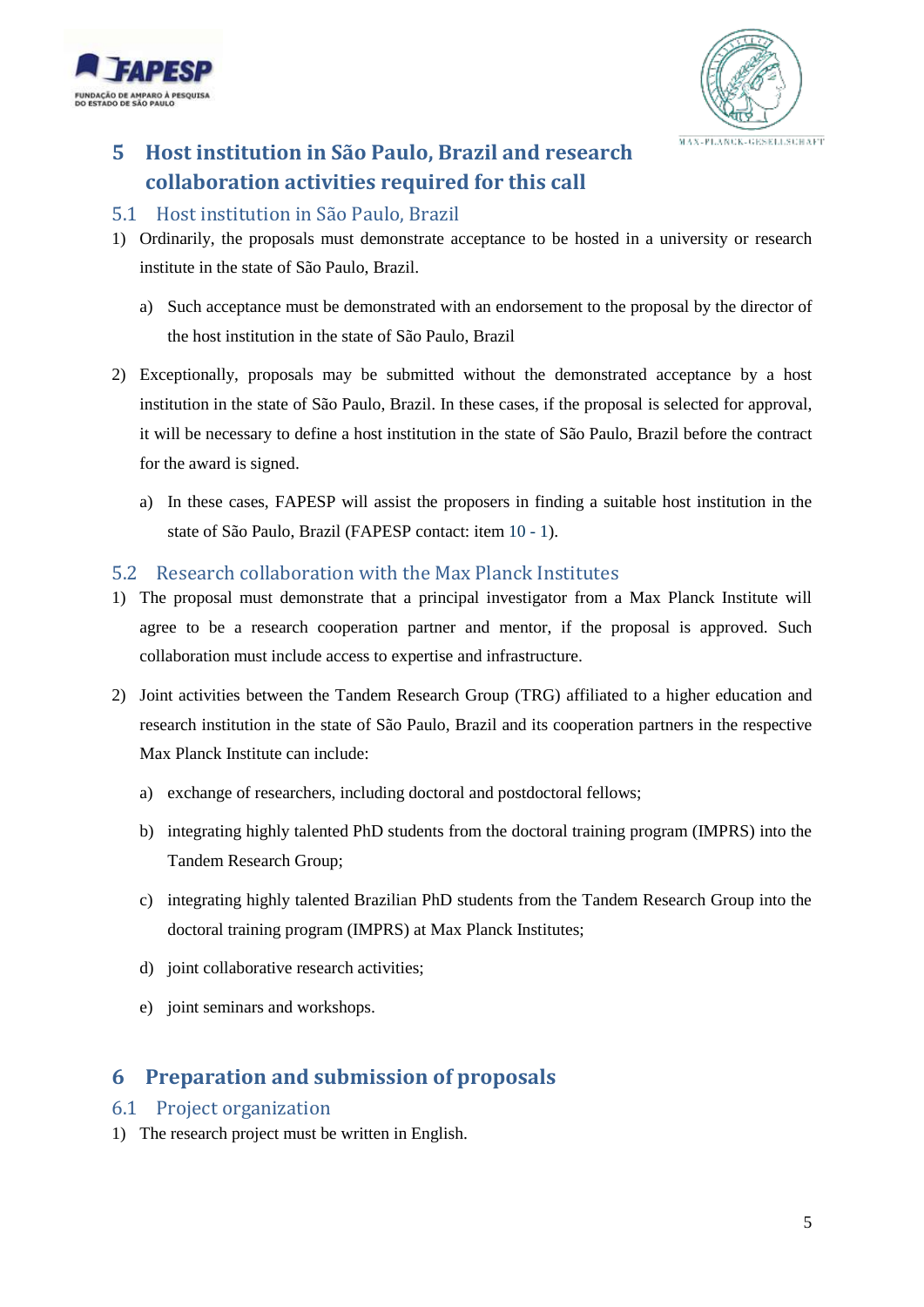



## <span id="page-4-0"></span>**5 Host institution in São Paulo, Brazil and research collaboration activities required for this call**

#### <span id="page-4-1"></span>5.1 Host institution in São Paulo, Brazil

- 1) Ordinarily, the proposals must demonstrate acceptance to be hosted in a university or research institute in the state of São Paulo, Brazil.
	- a) Such acceptance must be demonstrated with an endorsement to the proposal by the director of the host institution in the state of São Paulo, Brazil
- 2) Exceptionally, proposals may be submitted without the demonstrated acceptance by a host institution in the state of São Paulo, Brazil. In these cases, if the proposal is selected for approval, it will be necessary to define a host institution in the state of São Paulo, Brazil before the contract for the award is signed.
	- a) In these cases, FAPESP will assist the proposers in finding a suitable host institution in the state of São Paulo, Brazil (FAPESP contact: ite[m 10 -](#page-8-2) 1).

## <span id="page-4-2"></span>5.2 Research collaboration with the Max Planck Institutes

- <span id="page-4-6"></span>1) The proposal must demonstrate that a principal investigator from a Max Planck Institute will agree to be a research cooperation partner and mentor, if the proposal is approved. Such collaboration must include access to expertise and infrastructure.
- <span id="page-4-5"></span>2) Joint activities between the Tandem Research Group (TRG) affiliated to a higher education and research institution in the state of São Paulo, Brazil and its cooperation partners in the respective Max Planck Institute can include:
	- a) exchange of researchers, including doctoral and postdoctoral fellows;
	- b) integrating highly talented PhD students from the doctoral training program (IMPRS) into the Tandem Research Group;
	- c) integrating highly talented Brazilian PhD students from the Tandem Research Group into the doctoral training program (IMPRS) at Max Planck Institutes;
	- d) joint collaborative research activities;
	- e) joint seminars and workshops.

## <span id="page-4-3"></span>**6 Preparation and submission of proposals**

## <span id="page-4-4"></span>6.1 Project organization

1) The research project must be written in English.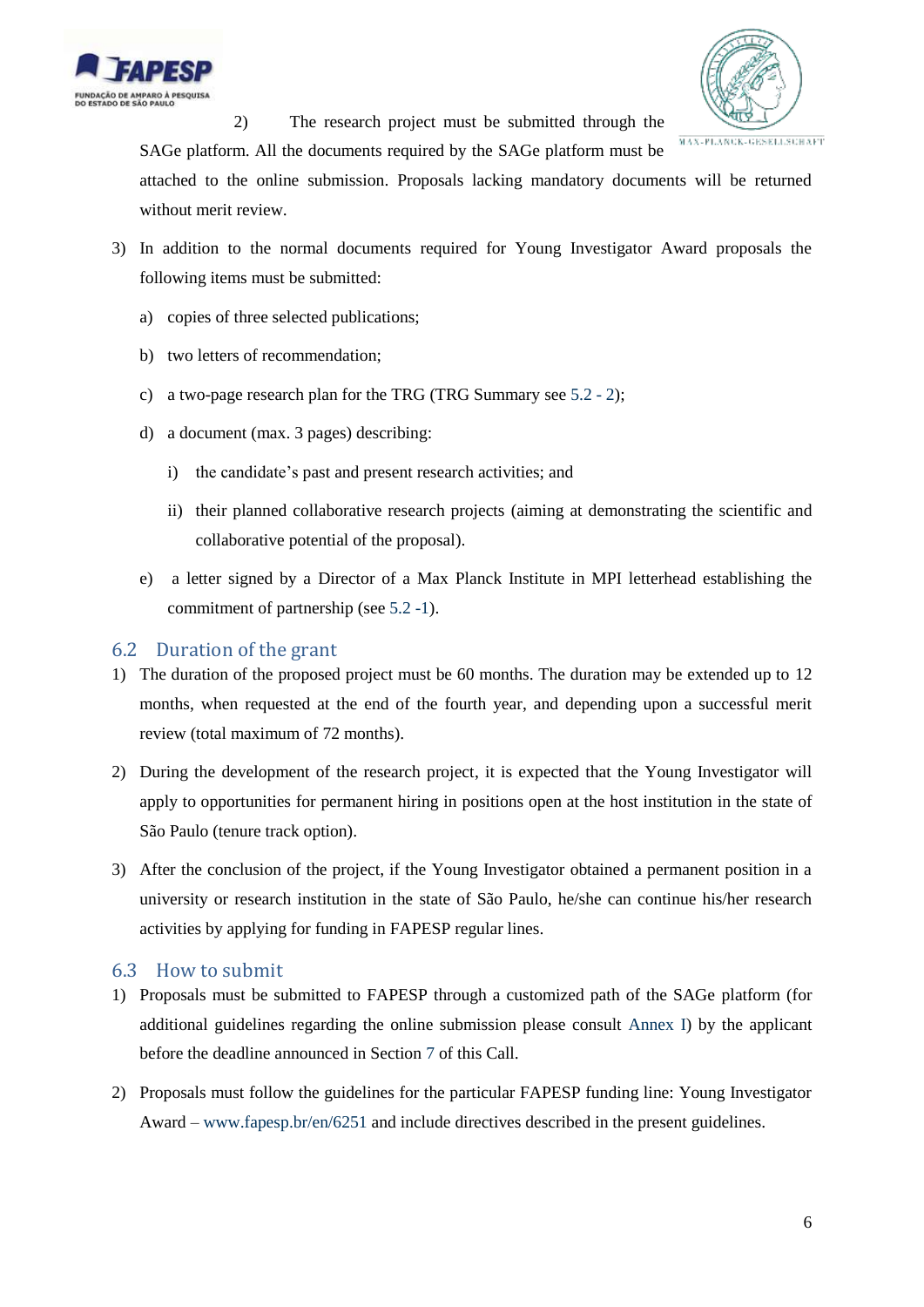



2) The research project must be submitted through the

SAGe platform. All the documents required by the SAGe platform must be attached to the online submission. Proposals lacking mandatory documents will be returned without merit review.

- 3) In addition to the normal documents required for Young Investigator Award proposals the following items must be submitted:
	- a) copies of three selected publications;
	- b) two letters of recommendation;
	- c) a two-page research plan for the TRG (TRG Summary se[e 5.2 -](#page-4-5) 2);
	- d) a document (max. 3 pages) describing:
		- i) the candidate's past and present research activities; and
		- ii) their planned collaborative research projects (aiming at demonstrating the scientific and collaborative potential of the proposal).
	- e) a letter signed by a Director of a Max Planck Institute in MPI letterhead establishing the commitment of partnership (see [5.2 -1\)](#page-4-6).

## <span id="page-5-0"></span>6.2 Duration of the grant

- 1) The duration of the proposed project must be 60 months. The duration may be extended up to 12 months, when requested at the end of the fourth year, and depending upon a successful merit review (total maximum of 72 months).
- 2) During the development of the research project, it is expected that the Young Investigator will apply to opportunities for permanent hiring in positions open at the host institution in the state of São Paulo (tenure track option).
- 3) After the conclusion of the project, if the Young Investigator obtained a permanent position in a university or research institution in the state of São Paulo, he/she can continue his/her research activities by applying for funding in FAPESP regular lines.

## <span id="page-5-1"></span>6.3 How to submit

- 1) Proposals must be submitted to FAPESP through a customized path of the SAGe platform (for additional guidelines regarding the online submission please consult [Annex I\)](#page-9-1) by the applicant before the deadline announced in Section [7](#page-6-0) of this Call.
- 2) Proposals must follow the guidelines for the particular FAPESP funding line: Young Investigator Award – [www.fapesp.br/en/6251](http://www.fapesp.br/en/6251) and include directives described in the present guidelines.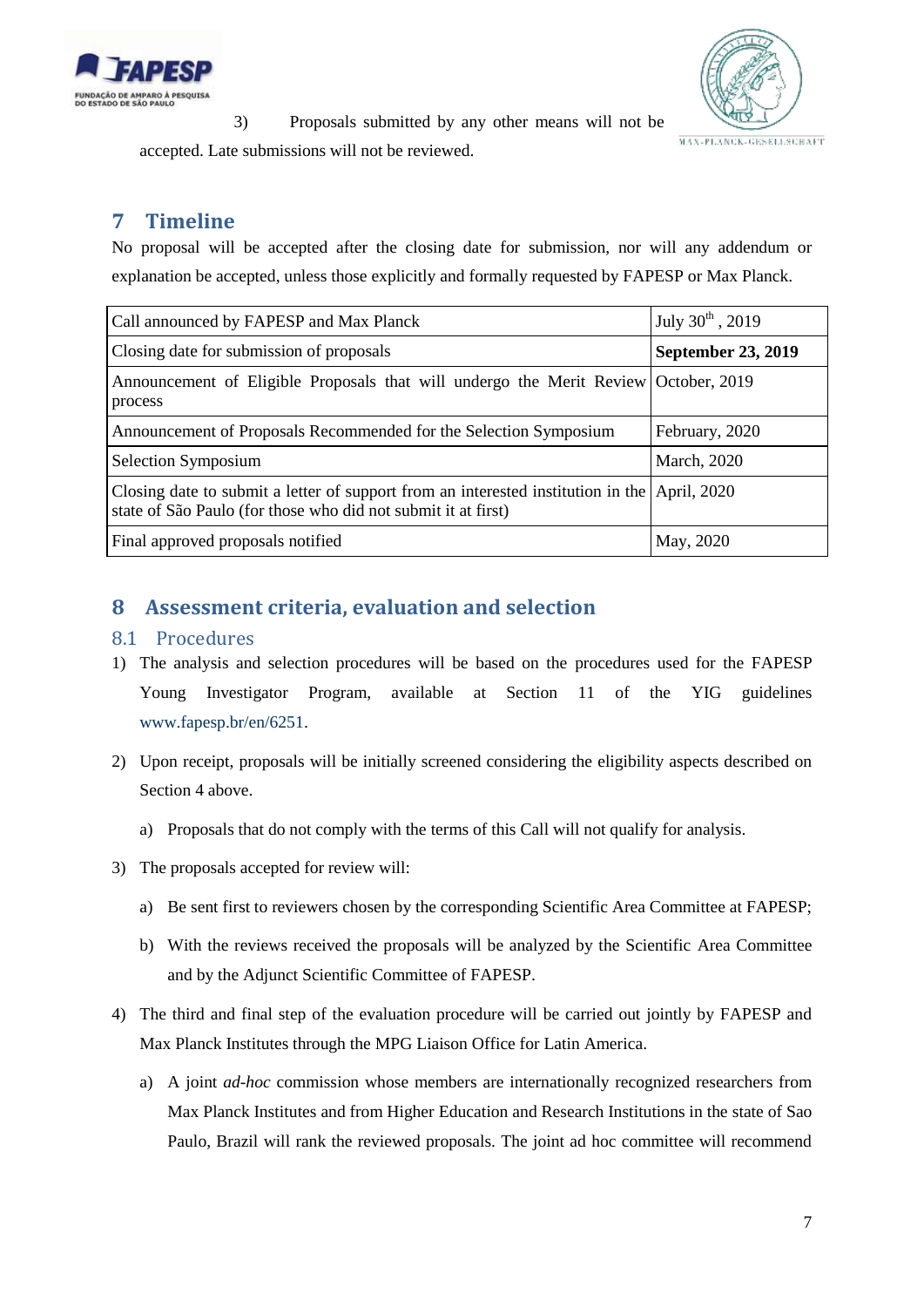



3) Proposals submitted by any other means will not be accepted. Late submissions will not be reviewed.

## <span id="page-6-0"></span>**7 Timeline**

No proposal will be accepted after the closing date for submission, nor will any addendum or explanation be accepted, unless those explicitly and formally requested by FAPESP or Max Planck.

| Call announced by FAPESP and Max Planck                                                                                                                       | July $30^{th}$ , 2019     |
|---------------------------------------------------------------------------------------------------------------------------------------------------------------|---------------------------|
| Closing date for submission of proposals                                                                                                                      | <b>September 23, 2019</b> |
| Announcement of Eligible Proposals that will undergo the Merit Review October, 2019<br>process                                                                |                           |
| Announcement of Proposals Recommended for the Selection Symposium                                                                                             | February, 2020            |
| Selection Symposium                                                                                                                                           | <b>March</b> , 2020       |
| Closing date to submit a letter of support from an interested institution in the April, 2020<br>state of São Paulo (for those who did not submit it at first) |                           |
| Final approved proposals notified                                                                                                                             | May, 2020                 |

## <span id="page-6-1"></span>**8 Assessment criteria, evaluation and selection**

## <span id="page-6-2"></span>8.1 Procedures

- 1) The analysis and selection procedures will be based on the procedures used for the FAPESP Young Investigator Program, available at Section 11 of the YIG guidelines [www.fapesp.br/en/6251.](http://www.fapesp.br/en/6251)
- 2) Upon receipt, proposals will be initially screened considering the eligibility aspects described on Sectio[n 4](#page-3-2) above.
	- a) Proposals that do not comply with the terms of this Call will not qualify for analysis.
- 3) The proposals accepted for review will:
	- a) Be sent first to reviewers chosen by the corresponding Scientific Area Committee at FAPESP;
	- b) With the reviews received the proposals will be analyzed by the Scientific Area Committee and by the Adjunct Scientific Committee of FAPESP.
- 4) The third and final step of the evaluation procedure will be carried out jointly by FAPESP and Max Planck Institutes through the MPG Liaison Office for Latin America.
	- a) A joint *ad-hoc* commission whose members are internationally recognized researchers from Max Planck Institutes and from Higher Education and Research Institutions in the state of Sao Paulo, Brazil will rank the reviewed proposals. The joint ad hoc committee will recommend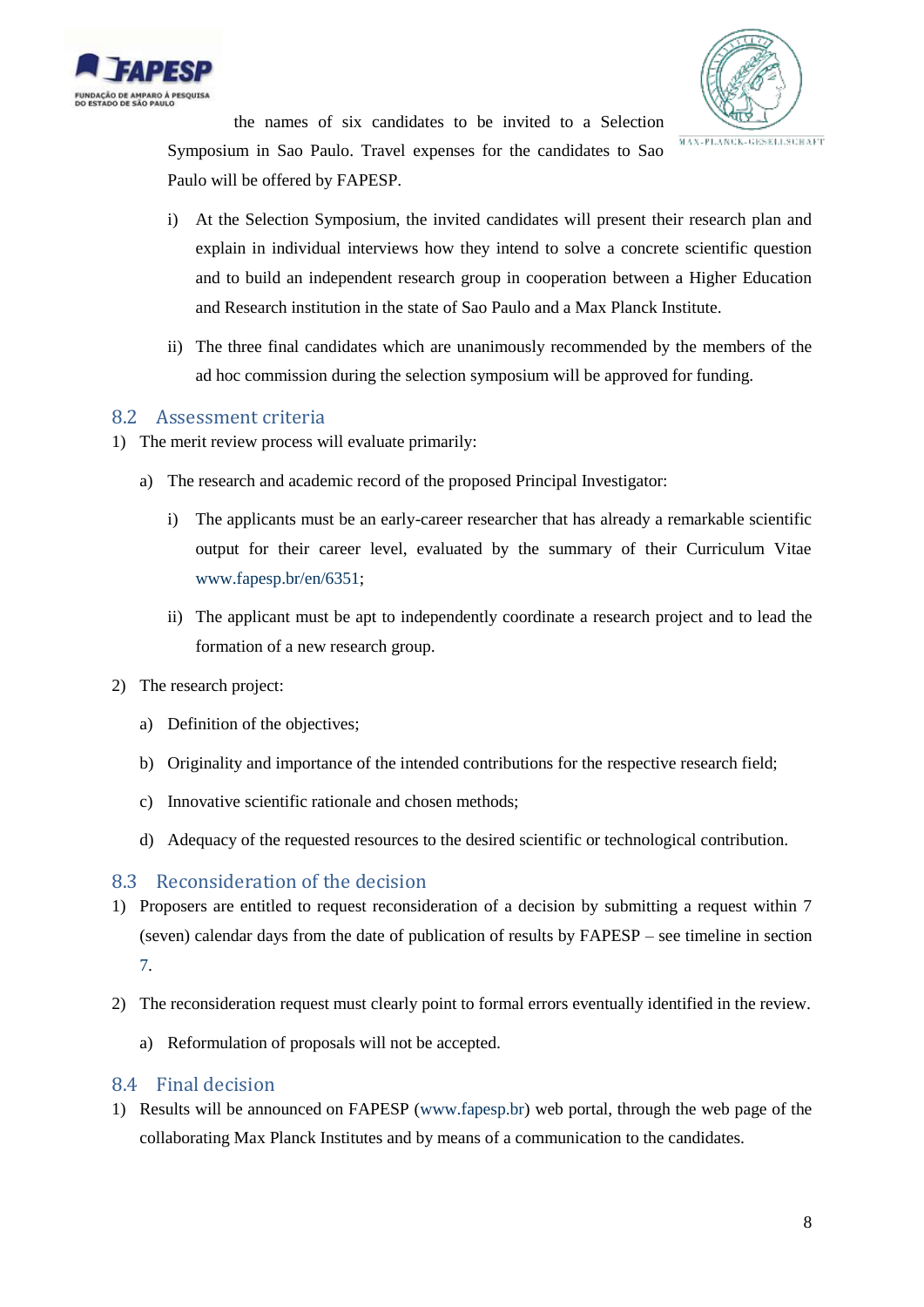



the names of six candidates to be invited to a Selection Symposium in Sao Paulo. Travel expenses for the candidates to Sao

Paulo will be offered by FAPESP.

- i) At the Selection Symposium, the invited candidates will present their research plan and explain in individual interviews how they intend to solve a concrete scientific question and to build an independent research group in cooperation between a Higher Education and Research institution in the state of Sao Paulo and a Max Planck Institute.
- ii) The three final candidates which are unanimously recommended by the members of the ad hoc commission during the selection symposium will be approved for funding.

## <span id="page-7-0"></span>8.2 Assessment criteria

- 1) The merit review process will evaluate primarily:
	- a) The research and academic record of the proposed Principal Investigator:
		- i) The applicants must be an early-career researcher that has already a remarkable scientific output for their career level, evaluated by the summary of their Curriculum Vitae [www.fapesp.br/en/6351;](http://www.fapesp.br/en/6351)
		- ii) The applicant must be apt to independently coordinate a research project and to lead the formation of a new research group.
- 2) The research project:
	- a) Definition of the objectives;
	- b) Originality and importance of the intended contributions for the respective research field;
	- c) Innovative scientific rationale and chosen methods;
	- d) Adequacy of the requested resources to the desired scientific or technological contribution.

## <span id="page-7-1"></span>8.3 Reconsideration of the decision

- 1) Proposers are entitled to request reconsideration of a decision by submitting a request within 7 (seven) calendar days from the date of publication of results by FAPESP – see timeline in section [7.](#page-6-0)
- 2) The reconsideration request must clearly point to formal errors eventually identified in the review.
	- a) Reformulation of proposals will not be accepted.

## <span id="page-7-2"></span>8.4 Final decision

1) Results will be announced on FAPESP [\(www.fapesp.br\)](http://www.fapesp.br/) web portal, through the web page of the collaborating Max Planck Institutes and by means of a communication to the candidates.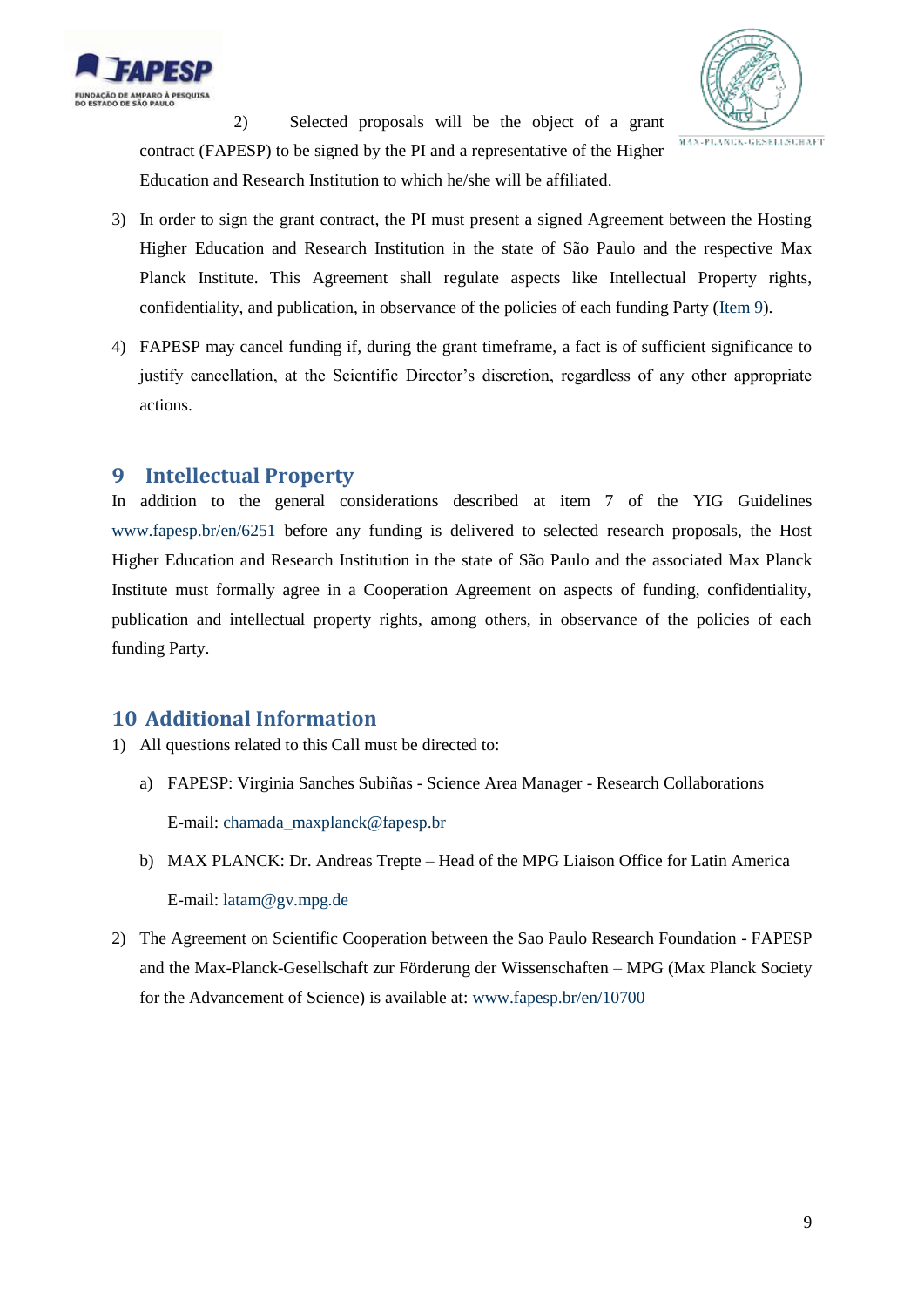



2) Selected proposals will be the object of a grant contract (FAPESP) to be signed by the PI and a representative of the Higher Education and Research Institution to which he/she will be affiliated.

- 3) In order to sign the grant contract, the PI must present a signed Agreement between the Hosting Higher Education and Research Institution in the state of São Paulo and the respective Max Planck Institute. This Agreement shall regulate aspects like Intellectual Property rights, confidentiality, and publication, in observance of the policies of each funding Party [\(Item 9\)](#page-6-1).
- 4) FAPESP may cancel funding if, during the grant timeframe, a fact is of sufficient significance to justify cancellation, at the Scientific Director's discretion, regardless of any other appropriate actions.

## <span id="page-8-0"></span>**9 Intellectual Property**

In addition to the general considerations described at item 7 of the YIG Guidelines [www.fapesp.br/en/6251](http://www.fapesp.br/en/6251) before any funding is delivered to selected research proposals, the Host Higher Education and Research Institution in the state of São Paulo and the associated Max Planck Institute must formally agree in a Cooperation Agreement on aspects of funding, confidentiality, publication and intellectual property rights, among others, in observance of the policies of each funding Party.

## <span id="page-8-1"></span>**10 Additional Information**

1) All questions related to this Call must be directed to:

- <span id="page-8-2"></span>a) FAPESP: Virginia Sanches Subiñas - Science Area Manager - Research Collaborations E-mail[: chamada\\_maxplanck@fapesp.br](mailto:chamada_maxplanck@fapesp.br)
- b) MAX PLANCK: Dr. Andreas Trepte Head of the MPG Liaison Office for Latin America E-mail[: latam@gv.mpg.de](mailto:latam@gv.mpg.de)
- 2) The Agreement on Scientific Cooperation between the Sao Paulo Research Foundation FAPESP and the Max-Planck-Gesellschaft zur Förderung der Wissenschaften – MPG (Max Planck Society for the Advancement of Science) is available at: [www.fapesp.br/en/10700](http://www.fapesp.br/en/10700)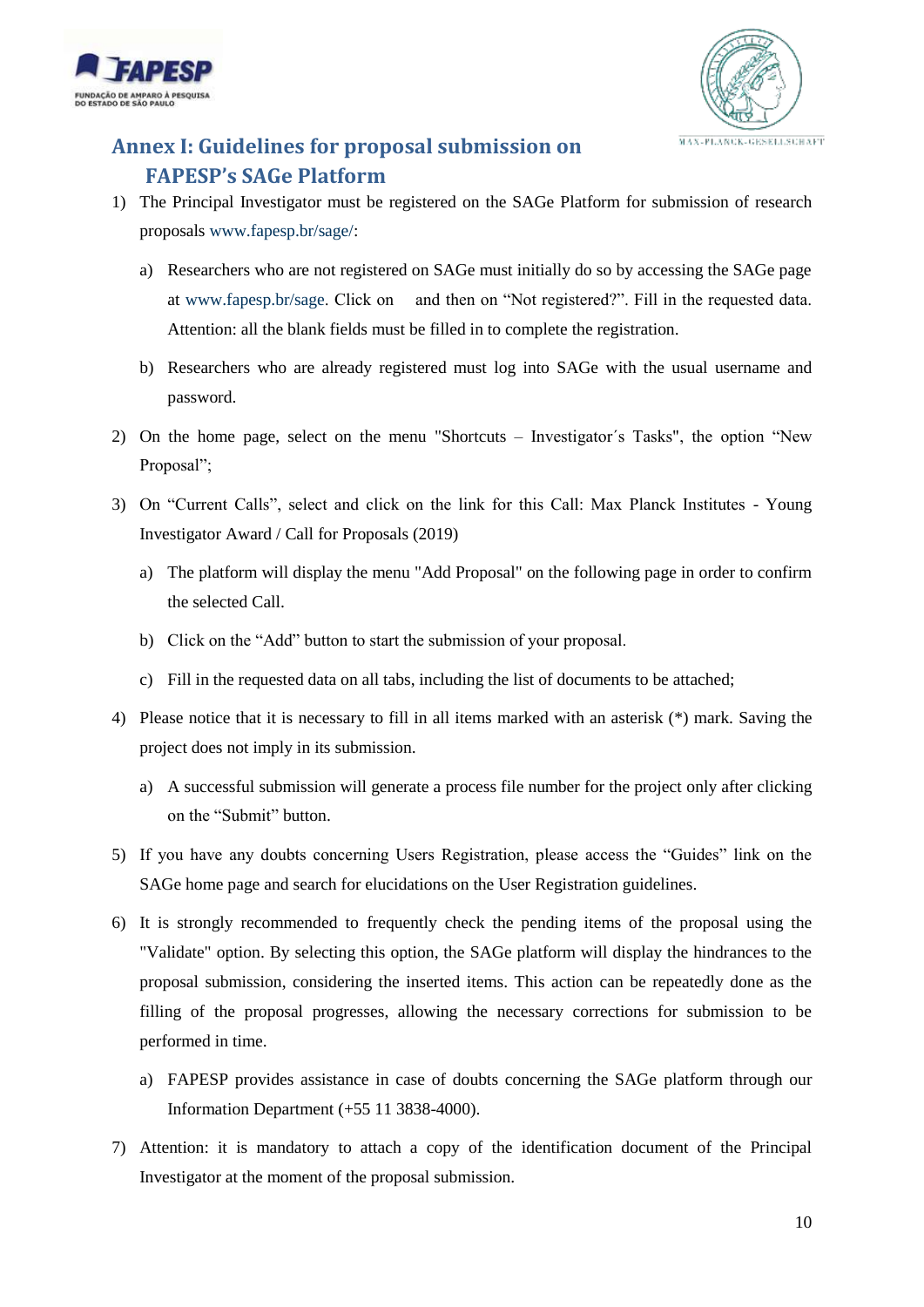



## <span id="page-9-1"></span><span id="page-9-0"></span>**Annex I: Guidelines for proposal submission on FAPESP's SAGe Platform**

- 1) The Principal Investigator must be registered on the SAGe Platform for submission of research proposals [www.fapesp.br/sage/:](http://www.fapesp.br/sage/)
	- a) Researchers who are not registered on SAGe must initially do so by accessing the SAGe page at [www.fapesp.br/sage.](http://www.fapesp.br/sage) Click on and then on "Not registered?". Fill in the requested data. Attention: all the blank fields must be filled in to complete the registration.
	- b) Researchers who are already registered must log into SAGe with the usual username and password.
- 2) On the home page, select on the menu "Shortcuts Investigator´s Tasks", the option "New Proposal";
- 3) On "Current Calls", select and click on the link for this Call: Max Planck Institutes Young Investigator Award / Call for Proposals (2019)
	- a) The platform will display the menu "Add Proposal" on the following page in order to confirm the selected Call.
	- b) Click on the "Add" button to start the submission of your proposal.
	- c) Fill in the requested data on all tabs, including the list of documents to be attached;
- 4) Please notice that it is necessary to fill in all items marked with an asterisk (\*) mark. Saving the project does not imply in its submission.
	- a) A successful submission will generate a process file number for the project only after clicking on the "Submit" button.
- 5) If you have any doubts concerning Users Registration, please access the "Guides" link on the SAGe home page and search for elucidations on the User Registration guidelines.
- 6) It is strongly recommended to frequently check the pending items of the proposal using the "Validate" option. By selecting this option, the SAGe platform will display the hindrances to the proposal submission, considering the inserted items. This action can be repeatedly done as the filling of the proposal progresses, allowing the necessary corrections for submission to be performed in time.
	- a) FAPESP provides assistance in case of doubts concerning the SAGe platform through our Information Department (+55 11 3838-4000).
- 7) Attention: it is mandatory to attach a copy of the identification document of the Principal Investigator at the moment of the proposal submission.